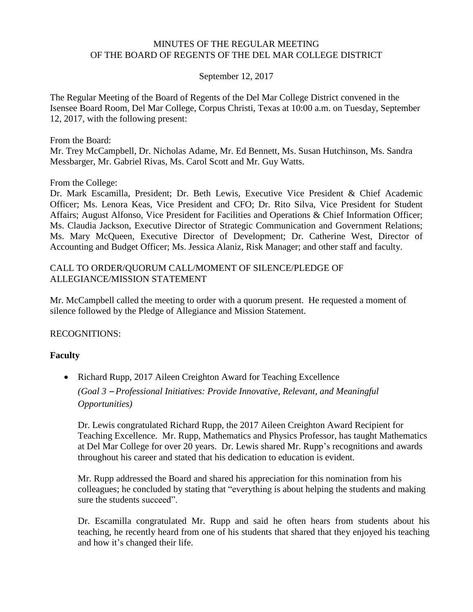#### MINUTES OF THE REGULAR MEETING OF THE BOARD OF REGENTS OF THE DEL MAR COLLEGE DISTRICT

#### September 12, 2017

The Regular Meeting of the Board of Regents of the Del Mar College District convened in the Isensee Board Room, Del Mar College, Corpus Christi, Texas at 10:00 a.m. on Tuesday, September 12, 2017, with the following present:

From the Board:

Mr. Trey McCampbell, Dr. Nicholas Adame, Mr. Ed Bennett, Ms. Susan Hutchinson, Ms. Sandra Messbarger, Mr. Gabriel Rivas, Ms. Carol Scott and Mr. Guy Watts.

From the College:

Dr. Mark Escamilla, President; Dr. Beth Lewis, Executive Vice President & Chief Academic Officer; Ms. Lenora Keas, Vice President and CFO; Dr. Rito Silva, Vice President for Student Affairs; August Alfonso, Vice President for Facilities and Operations & Chief Information Officer; Ms. Claudia Jackson, Executive Director of Strategic Communication and Government Relations; Ms. Mary McQueen, Executive Director of Development; Dr. Catherine West, Director of Accounting and Budget Officer; Ms. Jessica Alaniz, Risk Manager; and other staff and faculty.

#### CALL TO ORDER/QUORUM CALL/MOMENT OF SILENCE/PLEDGE OF ALLEGIANCE/MISSION STATEMENT

Mr. McCampbell called the meeting to order with a quorum present. He requested a moment of silence followed by the Pledge of Allegiance and Mission Statement.

RECOGNITIONS:

#### **Faculty**

• Richard Rupp, 2017 Aileen Creighton Award for Teaching Excellence *(Goal 3* – *Professional Initiatives: Provide Innovative, Relevant, and Meaningful Opportunities)*

Dr. Lewis congratulated Richard Rupp, the 2017 Aileen Creighton Award Recipient for Teaching Excellence. Mr. Rupp, Mathematics and Physics Professor, has taught Mathematics at Del Mar College for over 20 years. Dr. Lewis shared Mr. Rupp's recognitions and awards throughout his career and stated that his dedication to education is evident.

Mr. Rupp addressed the Board and shared his appreciation for this nomination from his colleagues; he concluded by stating that "everything is about helping the students and making sure the students succeed".

Dr. Escamilla congratulated Mr. Rupp and said he often hears from students about his teaching, he recently heard from one of his students that shared that they enjoyed his teaching and how it's changed their life.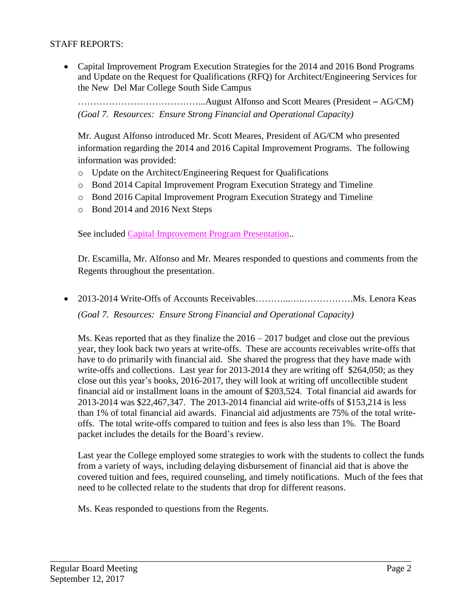### STAFF REPORTS:

 Capital Improvement Program Execution Strategies for the 2014 and 2016 Bond Programs and Update on the Request for Qualifications (RFQ) for Architect/Engineering Services for the New Del Mar College South Side Campus

…………………………………...August Alfonso and Scott Meares (President – AG/CM) *(Goal 7. Resources: Ensure Strong Financial and Operational Capacity)*

Mr. August Alfonso introduced Mr. Scott Meares, President of AG/CM who presented information regarding the 2014 and 2016 Capital Improvement Programs. The following information was provided:

- o Update on the Architect/Engineering Request for Qualifications
- o Bond 2014 Capital Improvement Program Execution Strategy and Timeline
- o Bond 2016 Capital Improvement Program Execution Strategy and Timeline
- o Bond 2014 and 2016 Next Steps

See included Capital [Improvement](http://www.delmar.edu/WorkArea/DownloadAsset.aspx?id=2147486065) Program Presentation..

Dr. Escamilla, Mr. Alfonso and Mr. Meares responded to questions and comments from the Regents throughout the presentation.

• 2013-2014 Write-Offs of Accounts Receivables………………………………Ms. Lenora Keas *(Goal 7. Resources: Ensure Strong Financial and Operational Capacity)*

Ms. Keas reported that as they finalize the 2016 – 2017 budget and close out the previous year, they look back two years at write-offs. These are accounts receivables write-offs that have to do primarily with financial aid. She shared the progress that they have made with write-offs and collections. Last year for 2013-2014 they are writing off \$264,050; as they close out this year's books, 2016-2017, they will look at writing off uncollectible student financial aid or installment loans in the amount of \$203,524. Total financial aid awards for 2013-2014 was \$22,467,347. The 2013-2014 financial aid write-offs of \$153,214 is less than 1% of total financial aid awards. Financial aid adjustments are 75% of the total writeoffs. The total write-offs compared to tuition and fees is also less than 1%. The Board packet includes the details for the Board's review.

Last year the College employed some strategies to work with the students to collect the funds from a variety of ways, including delaying disbursement of financial aid that is above the covered tuition and fees, required counseling, and timely notifications. Much of the fees that need to be collected relate to the students that drop for different reasons.

\_\_\_\_\_\_\_\_\_\_\_\_\_\_\_\_\_\_\_\_\_\_\_\_\_\_\_\_\_\_\_\_\_\_\_\_\_\_\_\_\_\_\_\_\_\_\_\_\_\_\_\_\_\_\_\_\_\_\_\_\_\_\_\_\_\_\_\_\_\_\_\_\_\_\_\_\_\_

Ms. Keas responded to questions from the Regents.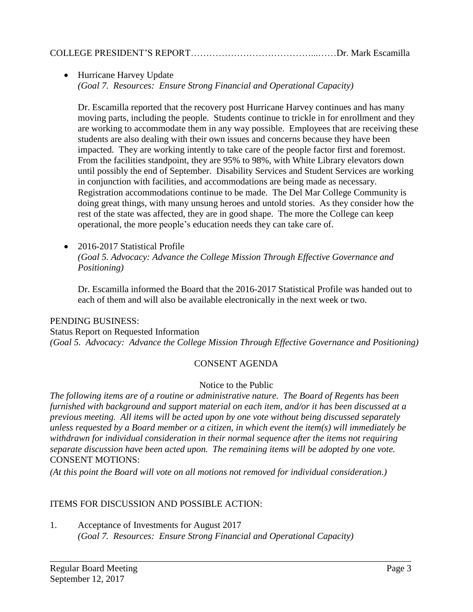• Hurricane Harvey Update *(Goal 7. Resources: Ensure Strong Financial and Operational Capacity)*

Dr. Escamilla reported that the recovery post Hurricane Harvey continues and has many moving parts, including the people. Students continue to trickle in for enrollment and they are working to accommodate them in any way possible. Employees that are receiving these students are also dealing with their own issues and concerns because they have been impacted. They are working intently to take care of the people factor first and foremost. From the facilities standpoint, they are 95% to 98%, with White Library elevators down until possibly the end of September. Disability Services and Student Services are working in conjunction with facilities, and accommodations are being made as necessary. Registration accommodations continue to be made. The Del Mar College Community is doing great things, with many unsung heroes and untold stories. As they consider how the rest of the state was affected, they are in good shape. The more the College can keep operational, the more people's education needs they can take care of.

• 2016-2017 Statistical Profile *(Goal 5. Advocacy: Advance the College Mission Through Effective Governance and Positioning)*

Dr. Escamilla informed the Board that the 2016-2017 Statistical Profile was handed out to each of them and will also be available electronically in the next week or two.

## PENDING BUSINESS:

Status Report on Requested Information *(Goal 5. Advocacy: Advance the College Mission Through Effective Governance and Positioning)*

## CONSENT AGENDA

## Notice to the Public

*The following items are of a routine or administrative nature. The Board of Regents has been furnished with background and support material on each item, and/or it has been discussed at a previous meeting. All items will be acted upon by one vote without being discussed separately unless requested by a Board member or a citizen, in which event the item(s) will immediately be withdrawn for individual consideration in their normal sequence after the items not requiring separate discussion have been acted upon. The remaining items will be adopted by one vote.* CONSENT MOTIONS:

\_\_\_\_\_\_\_\_\_\_\_\_\_\_\_\_\_\_\_\_\_\_\_\_\_\_\_\_\_\_\_\_\_\_\_\_\_\_\_\_\_\_\_\_\_\_\_\_\_\_\_\_\_\_\_\_\_\_\_\_\_\_\_\_\_\_\_\_\_\_\_\_\_\_\_\_\_\_

*(At this point the Board will vote on all motions not removed for individual consideration.)*

## ITEMS FOR DISCUSSION AND POSSIBLE ACTION:

1. Acceptance of Investments for August 2017 *(Goal 7. Resources: Ensure Strong Financial and Operational Capacity)*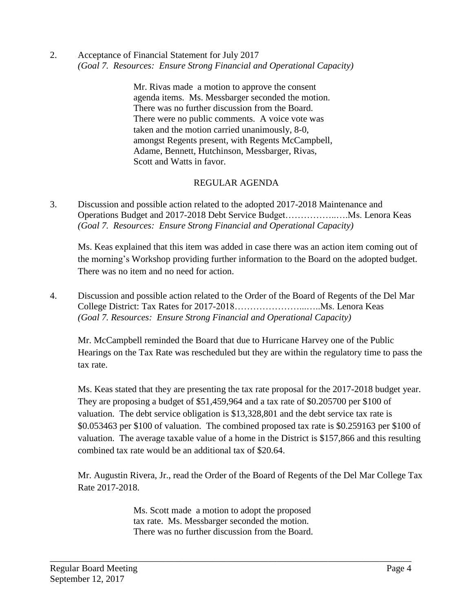2. Acceptance of Financial Statement for July 2017 *(Goal 7. Resources: Ensure Strong Financial and Operational Capacity)*

> Mr. Rivas made a motion to approve the consent agenda items. Ms. Messbarger seconded the motion. There was no further discussion from the Board. There were no public comments. A voice vote was taken and the motion carried unanimously, 8-0, amongst Regents present, with Regents McCampbell, Adame, Bennett, Hutchinson, Messbarger, Rivas, Scott and Watts in favor.

# REGULAR AGENDA

3. Discussion and possible action related to the adopted 2017-2018 Maintenance and Operations Budget and 2017-2018 Debt Service Budget……………..….Ms. Lenora Keas *(Goal 7. Resources: Ensure Strong Financial and Operational Capacity)*

Ms. Keas explained that this item was added in case there was an action item coming out of the morning's Workshop providing further information to the Board on the adopted budget. There was no item and no need for action.

4. Discussion and possible action related to the Order of the Board of Regents of the Del Mar College District: Tax Rates for 2017-2018…………………...…..Ms. Lenora Keas *(Goal 7. Resources: Ensure Strong Financial and Operational Capacity)*

Mr. McCampbell reminded the Board that due to Hurricane Harvey one of the Public Hearings on the Tax Rate was rescheduled but they are within the regulatory time to pass the tax rate.

Ms. Keas stated that they are presenting the tax rate proposal for the 2017-2018 budget year. They are proposing a budget of \$51,459,964 and a tax rate of \$0.205700 per \$100 of valuation. The debt service obligation is \$13,328,801 and the debt service tax rate is \$0.053463 per \$100 of valuation. The combined proposed tax rate is \$0.259163 per \$100 of valuation. The average taxable value of a home in the District is \$157,866 and this resulting combined tax rate would be an additional tax of \$20.64.

Mr. Augustin Rivera, Jr., read the Order of the Board of Regents of the Del Mar College Tax Rate 2017-2018.

> Ms. Scott made a motion to adopt the proposed tax rate. Ms. Messbarger seconded the motion. There was no further discussion from the Board.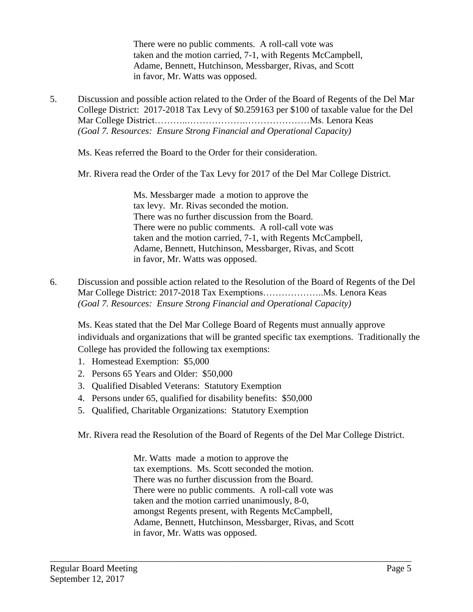There were no public comments. A roll-call vote was taken and the motion carried, 7-1, with Regents McCampbell, Adame, Bennett, Hutchinson, Messbarger, Rivas, and Scott in favor, Mr. Watts was opposed.

5. Discussion and possible action related to the Order of the Board of Regents of the Del Mar College District: 2017-2018 Tax Levy of \$0.259163 per \$100 of taxable value for the Del Mar College District………..……………….…………………Ms. Lenora Keas *(Goal 7. Resources: Ensure Strong Financial and Operational Capacity)*

Ms. Keas referred the Board to the Order for their consideration.

Mr. Rivera read the Order of the Tax Levy for 2017 of the Del Mar College District.

Ms. Messbarger made a motion to approve the tax levy. Mr. Rivas seconded the motion. There was no further discussion from the Board. There were no public comments. A roll-call vote was taken and the motion carried, 7-1, with Regents McCampbell, Adame, Bennett, Hutchinson, Messbarger, Rivas, and Scott in favor, Mr. Watts was opposed.

6. Discussion and possible action related to the Resolution of the Board of Regents of the Del Mar College District: 2017-2018 Tax Exemptions………………..Ms. Lenora Keas *(Goal 7. Resources: Ensure Strong Financial and Operational Capacity)*

Ms. Keas stated that the Del Mar College Board of Regents must annually approve individuals and organizations that will be granted specific tax exemptions. Traditionally the College has provided the following tax exemptions:

- 1. Homestead Exemption: \$5,000
- 2. Persons 65 Years and Older: \$50,000
- 3. Qualified Disabled Veterans: Statutory Exemption
- 4. Persons under 65, qualified for disability benefits: \$50,000
- 5. Qualified, Charitable Organizations: Statutory Exemption

Mr. Rivera read the Resolution of the Board of Regents of the Del Mar College District.

Mr. Watts made a motion to approve the tax exemptions. Ms. Scott seconded the motion. There was no further discussion from the Board. There were no public comments. A roll-call vote was taken and the motion carried unanimously, 8-0, amongst Regents present, with Regents McCampbell, Adame, Bennett, Hutchinson, Messbarger, Rivas, and Scott in favor, Mr. Watts was opposed.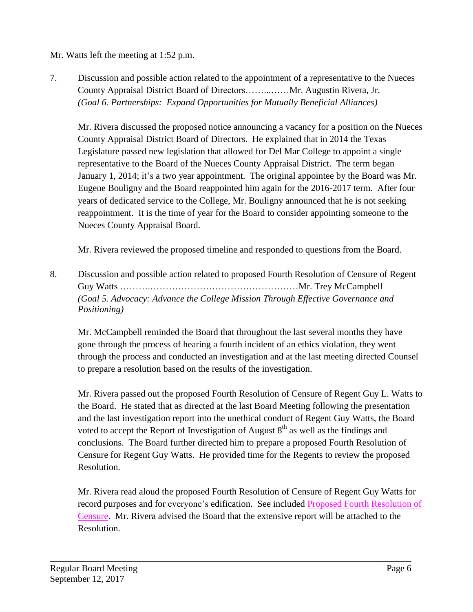Mr. Watts left the meeting at 1:52 p.m.

7. Discussion and possible action related to the appointment of a representative to the Nueces County Appraisal District Board of Directors……...……Mr. Augustin Rivera, Jr. *(Goal 6. Partnerships: Expand Opportunities for Mutually Beneficial Alliances)*

Mr. Rivera discussed the proposed notice announcing a vacancy for a position on the Nueces County Appraisal District Board of Directors. He explained that in 2014 the Texas Legislature passed new legislation that allowed for Del Mar College to appoint a single representative to the Board of the Nueces County Appraisal District. The term began January 1, 2014; it's a two year appointment. The original appointee by the Board was Mr. Eugene Bouligny and the Board reappointed him again for the 2016-2017 term. After four years of dedicated service to the College, Mr. Bouligny announced that he is not seeking reappointment. It is the time of year for the Board to consider appointing someone to the Nueces County Appraisal Board.

Mr. Rivera reviewed the proposed timeline and responded to questions from the Board.

8. Discussion and possible action related to proposed Fourth Resolution of Censure of Regent Guy Watts ……….…………………………………………Mr. Trey McCampbell *(Goal 5. Advocacy: Advance the College Mission Through Effective Governance and Positioning)*

Mr. McCampbell reminded the Board that throughout the last several months they have gone through the process of hearing a fourth incident of an ethics violation, they went through the process and conducted an investigation and at the last meeting directed Counsel to prepare a resolution based on the results of the investigation.

Mr. Rivera passed out the proposed Fourth Resolution of Censure of Regent Guy L. Watts to the Board. He stated that as directed at the last Board Meeting following the presentation and the last investigation report into the unethical conduct of Regent Guy Watts, the Board voted to accept the Report of Investigation of August  $8<sup>th</sup>$  as well as the findings and conclusions. The Board further directed him to prepare a proposed Fourth Resolution of Censure for Regent Guy Watts. He provided time for the Regents to review the proposed Resolution.

Mr. Rivera read aloud the proposed Fourth Resolution of Censure of Regent Guy Watts for record purposes and for everyone's edification. See included Proposed Fourth [Resolution](http://www.delmar.edu/WorkArea/DownloadAsset.aspx?id=2147486053) of [Censure.](http://www.delmar.edu/WorkArea/DownloadAsset.aspx?id=2147486053) Mr. Rivera advised the Board that the extensive report will be attached to the Resolution.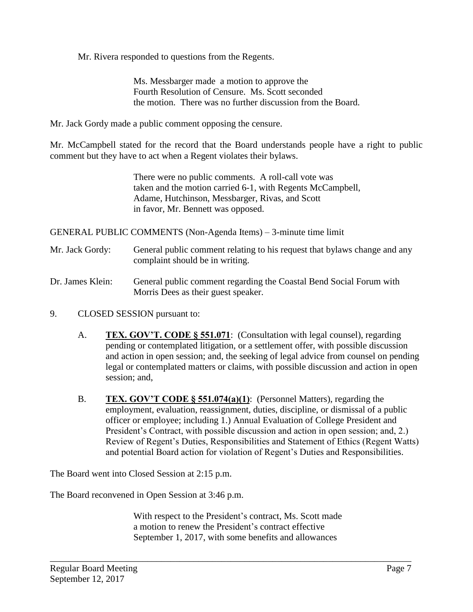Mr. Rivera responded to questions from the Regents.

Ms. Messbarger made a motion to approve the Fourth Resolution of Censure. Ms. Scott seconded the motion. There was no further discussion from the Board.

Mr. Jack Gordy made a public comment opposing the censure.

Mr. McCampbell stated for the record that the Board understands people have a right to public comment but they have to act when a Regent violates their bylaws.

> There were no public comments. A roll-call vote was taken and the motion carried 6-1, with Regents McCampbell, Adame, Hutchinson, Messbarger, Rivas, and Scott in favor, Mr. Bennett was opposed.

GENERAL PUBLIC COMMENTS (Non-Agenda Items) – 3-minute time limit

- Mr. Jack Gordy: General public comment relating to his request that bylaws change and any complaint should be in writing.
- Dr. James Klein: General public comment regarding the Coastal Bend Social Forum with Morris Dees as their guest speaker.
- 9. CLOSED SESSION pursuant to:
	- A. **TEX. GOV'T. CODE § 551.071**: (Consultation with legal counsel), regarding pending or contemplated litigation, or a settlement offer, with possible discussion and action in open session; and, the seeking of legal advice from counsel on pending legal or contemplated matters or claims, with possible discussion and action in open session; and,
	- B. **TEX. GOV'T CODE § 551.074(a)(1)**: (Personnel Matters), regarding the employment, evaluation, reassignment, duties, discipline, or dismissal of a public officer or employee; including 1.) Annual Evaluation of College President and President's Contract, with possible discussion and action in open session; and, 2.) Review of Regent's Duties, Responsibilities and Statement of Ethics (Regent Watts) and potential Board action for violation of Regent's Duties and Responsibilities.

The Board went into Closed Session at 2:15 p.m.

The Board reconvened in Open Session at 3:46 p.m.

With respect to the President's contract, Ms. Scott made a motion to renew the President's contract effective September 1, 2017, with some benefits and allowances